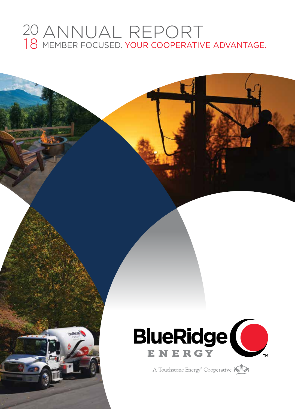# ANNUAL REPORT MEMBER FOCUSED. YOUR COOPERATIVE ADVANTAGE.



A Touchstone Energy<sup>®</sup> Cooperative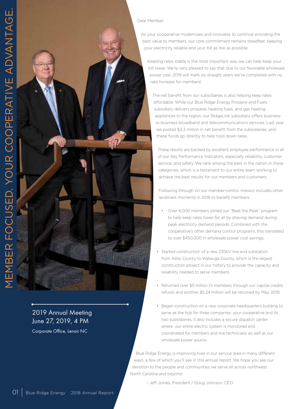

2019 Annual Meeting June 27, 2019, 4 PM Corporate Office, Lenoir NC

### Dear Member,

As your cooperative modernizes and innovates to continue providing the best value to members, our core commitment remains steadfast: keeping your electricity reliable and your bill as low as possible.

Keeping rates stable is the most important way we can help keep your bill lower. We're very pleased to say that due to our favorable wholesale power cost, 2019 will mark six straight years we've completed with no rate increase for members!

The net benefit from our subsidiaries is also helping keep rates affordable. While our Blue Ridge Energy Propane and Fuels subsidiary delivers propane, heating fuels, and gas heating appliances to the region, our RidgeLink subsidiary offers businessto-business broadband and telecommunications services. Last year we posted \$3.3 million in net benefit from the subsidiaries, and these funds go directly to help hold down rates.

These results are backed by excellent employee performance in all of our Key Performance Indicators, especially reliability, customer service, and safety. We rank among the best in the nation in these categories, which is a testament to our entire team working to achieve the best results for our members and customers.

Following through on our member-centric mission includes other landmark moments in 2018 to benefit members:

- Over 4,000 members joined our "Beat the Peak" program to help keep rates lower for all by shaving demand during peak electricity demand periods. Combined with the cooperative's other demand control programs, this translated to over \$450,000 in wholesale power cost savings.
- Started construction of a new 230kV line and substation from Ashe County to Watauga County, which is the largest construction project in our history to provide the capacity and reliability needed to serve members.
- Returned over \$5 million to members through our capital credits refund, and another \$5.24 million will be returned by May, 2019.
- Began construction on a new corporate headquarters building to serve as the hub for three companies: your cooperative and its two subsidiaries. It also includes a secure dispatch center where our entire electric system is monitored and coordinated for members and line technicians as well as our wholesale power source.

 Blue Ridge Energy is improving lives in our service area in many different ways, a few of which you'll see in this annual report. We hope you see our devotion to the people and communities we serve all across northwest North Carolina and beyond.

– Jeff Joines, President / Doug Johnson, CEO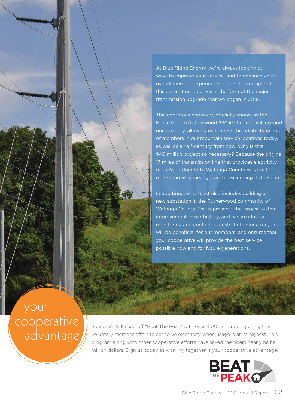At Blue Ridge Energy, we're always looking at ways to improve your service, and to enhance your overall member experience. The latest example of this commitment comes in the form of the major transmission upgrade that we began in 2018.

This enormous endeavor, officially known as the Horse Gap to Rutherwood 230 kV Project, will expand our capacity, allowing us to meet the reliability needs of members in our mountain service locations today, as well as a half-century from now. Why is this \$40 million project so necessary? Because the original 17 miles of transmission line that provides electricity from Ashe County to Watauga County was built more than 50 years ago, and is exceeding its lifespan.

In addition, this project also includes building a new substation in the Rutherwood community of Watauga County. This represents the largest system improvement in our history, and we are closely monitoring and containing costs. In the long run, this will be beneficial for our members, and ensures that your cooperative will provide the best service possible now and for future generations.

 your cooperative advantage

Successfully kicked off "Beat The Peak" with over 4,000 members joining this voluntary member effort to conserve electricity when usage is at its highest. This program along with other cooperative efforts have saved members nearly half a million dollars. Sign up today as working together is your cooperative advantage!

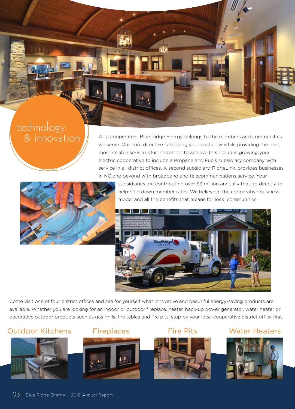# technology & innovation

As a cooperative, Blue Ridge Energy belongs to the members and communities we serve. Our core directive is keeping your costs low while providing the best, most reliable service. Our innovation to achieve this includes growing your electric cooperative to include a Propane and Fuels subsidiary company with service in all district offices. A second subsidiary, RidgeLink, provides businesses in NC and beyond with broadband and telecommunications service. Your



subsidiaries are contributing over \$3 million annually that go directly to help hold down member rates. We believe in the cooperative business model and all the benefits that means for local communities.



Come visit one of four district offices and see for yourself what innovative and beautiful energy-saving products are available. Whether you are looking for an indoor or outdoor fireplace, heater, back-up power generator, water heater or decorative outdoor products such as gas grills, fire tables and fire pits, stop by your local cooperative district office first.

## Outdoor Kitchens Fireplaces Fire Pits Water Heaters









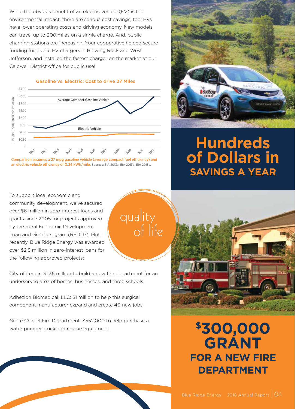While the obvious benefit of an electric vehicle (EV) is the environmental impact, there are serious cost savings, too! EVs have lower operating costs and driving economy. New models can travel up to 200 miles on a single charge. And, public charging stations are increasing. Your cooperative helped secure funding for public EV chargers in Blowing Rock and West Jefferson, and installed the fastest charger on the market at our Caldwell District office for public use!



Gasoline vs. Electric: Cost to drive 27 Miles



quality

of life

To support local economic and community development, we've secured over \$6 million in zero-interest loans and grants since 2005 for projects approved by the Rural Economic Development Loan and Grant program (REDLG). Most recently, Blue Ridge Energy was awarded over \$2.8 million in zero-interest loans for the following approved projects:

City of Lenoir: \$1.36 million to build a new fire department for an underserved area of homes, businesses, and three schools.

Adhezion Biomedical, LLC: \$1 million to help this surgical component manufacturer expand and create 40 new jobs.

Grace Chapel Fire Department: \$552,000 to help purchase a water pumper truck and rescue equipment.



# **Hundreds of Dollars in SAVINGS A YEAR**



# **\$300,000 GRANT FOR A NEW FIRE DEPARTMENT**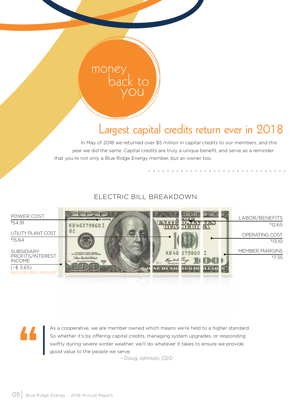# Largest capital credits return ever in 2018

In May of 2018 we returned over \$5 million in capital credits to our members, and this year we did the same. Capital credits are truly a unique benefit, and serve as a reminder that you're not only a Blue Ridge Energy member, but an owner too.

### ELECTRIC BILL BREAKDOWN

mone

back to you



As a cooperative, we are member owned which means we're held to a higher standard. So whether it's by offering capital credits, managing system upgrades, or responding swiftly during severe winter weather, we'll do whatever it takes to ensure we provide good value to the people we serve.

– Doug Johnson, CEO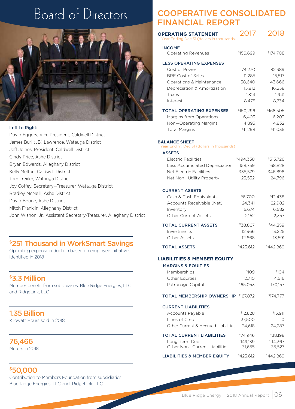

### Left to Right:

David Eggers, Vice President, Caldwell District James Burl (JB) Lawrence, Watauga District Jeff Joines, President, Caldwell District Cindy Price, Ashe District Bryan Edwards, Alleghany District Kelly Melton, Caldwell District Tom Trexler, Watauga District Joy Coffey, Secretary—Treasurer, Watauga District Bradley McNeill, Ashe District David Boone, Ashe District Mitch Franklin, Alleghany District John Wishon, Jr., Assistant Secretary-Treasurer, Alleghany District

### \$251 Thousand in WorkSmart Savings

Operating expense reduction based on employee initiatives identified in 2018

### \$3.3 Million

Member benefit from subsidiaries: Blue Ridge Energies, LLC and RidgeLink, LLC

### 1.35 Billion

Kilowatt Hours sold In 2018

### 76,466

Meters in 2018

### \$50,000

Contribution to Members Foundation from subsidiaries: Blue Ridge Energies, LLC and RidgeLink, LLC

## Board of Directors COOPERATIVE CONSOLIDATED FINANCIAL REPORT

| <b>OPERATING STATEMENT</b><br>Year Ending Dec 31 (dollars in thousands) | 2017                    | 2018                  |
|-------------------------------------------------------------------------|-------------------------|-----------------------|
| <b>INCOME</b><br><b>Operating Revenues</b>                              | \$156,699               | <sup>\$</sup> 174,708 |
| <b>LESS OPERATING EXPENSES</b>                                          |                         |                       |
| Cost of Power                                                           | 74,270                  | 82,389                |
| <b>BRE Cost of Sales</b>                                                | 11,285                  | 15,517                |
| Operations & Maintenance                                                | 38,640                  | 43,666                |
| Depreciation & Amortization                                             | 15,812                  | 16,258                |
| Taxes                                                                   | 1.814                   | 1.941                 |
| Interest                                                                | 8,475                   | 8,734                 |
| <b>TOTAL OPERATING EXPENSES</b>                                         | <sup>\$</sup> 150,296   | \$168,505             |
| Margins from Operations                                                 | 6,403                   | 6,203                 |
| Non—Operating Margins                                                   | 4,895                   | 4,832                 |
| <b>Total Margins</b>                                                    | \$11,298                | \$11,035              |
| <b>BALANCE SHEET</b><br>Year Ending Dec 31 (dollars in thousands)       |                         |                       |
| <b>ASSETS</b>                                                           |                         |                       |
| <b>Electric Facilities</b>                                              | \$494.338               | \$515,726             |
| Less Accumulated Depreciation                                           | 158,759                 | 168,828               |
| Net Electric Facilities                                                 | 335,579                 | 346,898               |
| Net Non-Utility Property                                                | 23,532                  | 24,796                |
| <b>CURRENT ASSETS</b>                                                   |                         |                       |
| Cash & Cash Equivalents                                                 | \$6,700                 | \$12,438              |
| Accounts Receivable (Net)                                               | 24,341                  | 22,982                |
| Inventory                                                               | 5,674                   | 6,582                 |
| <b>Other Current Assets</b>                                             | 2,152                   | 2,357                 |
| <b>TOTAL CURRENT ASSETS</b>                                             | \$38,867                | \$44,359              |
| Investments                                                             | 12,966                  | 13,225                |
| Other Assets                                                            | 12,668                  | 13,591                |
| <b>TOTAL ASSETS</b>                                                     | \$423,612               | <sup>\$</sup> 442,869 |
| <b>LIABILITIES &amp; MEMBER EQUITY</b>                                  |                         |                       |
| <b>MARGINS &amp; EQUITIES</b>                                           |                         |                       |
| Memberships                                                             | \$109                   | \$104                 |
| Other Equities                                                          | 2,710                   | 4,516                 |
| Patronage Capital                                                       | 165,053                 | 170,157               |
| <b>TOTAL MEMBERSHIP OWNERSHIP \$167.872</b>                             |                         | \$174,777             |
| <b>CURRENT LIABILITIES</b>                                              |                         |                       |
| Accounts Payable                                                        | \$12,828                | \$13,911              |
| Lines of Credit                                                         | 37,500                  | 0                     |
| Other Current & Accrued Liabilities                                     | 24,618                  | 24,287                |
| <b>TOTAL CURRENT LIABILITIES</b>                                        | <sup>\$</sup> 74,946    | \$38,198              |
| Long-Term Debt                                                          | 149,139                 | 194,367               |
| Other Non-Current Liabilities                                           | 31,655                  | 35,527                |
| <b>LIABILITIES &amp; MEMBER EQUITY</b>                                  | <i><b>\$423,612</b></i> | \$442,869             |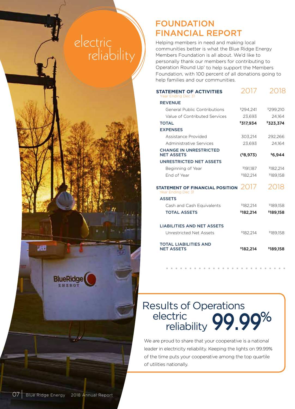# electric **reliability**



Helping members in need and making local communities better is what the Blue Ridge Energy Members Foundation is all about. We'd like to personally thank our members for contributing to Operation Round Up<sup>®</sup> to help support the Members Foundation, with 100 percent of all donations going to help families and our communities.

| <b>STATEMENT OF ACTIVITIES</b><br>Year Ending Dec 31         | 2017       | 2018      |
|--------------------------------------------------------------|------------|-----------|
| <b>REVENUE</b>                                               |            |           |
| <b>General Public Contributions</b>                          | \$294.241  | \$299,210 |
| Value of Contributed Services                                | 23.693     | 24.164    |
| <b>TOTAL</b>                                                 | \$317,934  | \$323,374 |
| <b>EXPENSES</b>                                              |            |           |
| Assistance Provided                                          | 303,214    | 292,266   |
| Administrative Services                                      | 23.693     | 24.164    |
| <b>CHANGE IN UNRESTRICTED</b><br><b>NET ASSETS</b>           | $(*8,973)$ | \$6,944   |
| <b>UNRESTRICTED NET ASSETS</b>                               |            |           |
| Beginning of Year                                            | \$191,187  | \$182,214 |
| End of Year                                                  | \$182.214  | \$189.158 |
| STATEMENT OF FINANCIAL POSITION $2017$<br>Year Ending Dec 31 |            | 2018      |
| <b>ASSETS</b>                                                |            |           |
| Cash and Cash Equivalents                                    | \$182.214  | \$189.158 |
| <b>TOTAL ASSETS</b>                                          | \$182,214  | \$189,158 |
| <b>LIABILITIES AND NET ASSETS</b>                            |            |           |
| Unrestricted Net Assets                                      | \$182.214  | \$189.158 |
| <b>TOTAL LIABILITIES AND</b><br><b>NET ASSETS</b>            | \$182,214  | \$189,158 |

# electric **99.99%** Results of Operations reliability

We are proud to share that your cooperative is a national leader in electricity reliability. Keeping the lights on 99.99% of the time puts your cooperative among the top quartile of utilities nationally.

**BlueRidge** 

læ